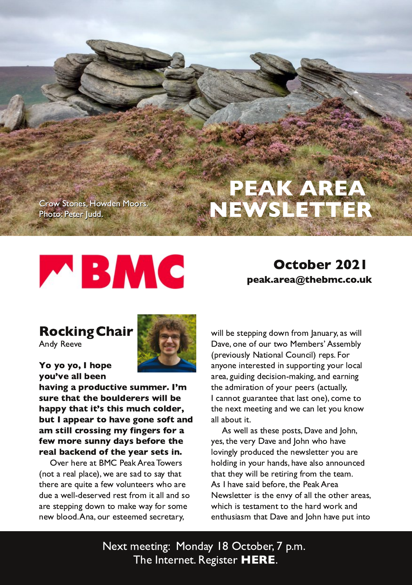**@E (B-3A =E23<#==@** 86=B 8368@(22

## $): 5(+8)$  $6+118+$  :  $+(3)$ ) 5; 1

 $5)1/4 /8$  $\leq 2G'$  33D8

85 ?5 ?5 .56+  $?5; A+$  2(++4  $\frac{1}{2}$  </4-  $\frac{1}{685}$  (3):/<+ 9; 3 3 +8  $\frac{1}{68}$ 9;  $8+$  :  $\cdot$  : : : + (5;  $2 + 8 + 89 = 22 + 12$  $. '66? : . ' : / : A9 : . / 93 ; ).$  ) 52\* +8  $(:: '66+'8:5,' < + -54+95,: '4*$  $'3$  9:  $/22$ ) 8599/4 - 3 ?  $/4$  - +89 ,58'  $+= 358+9: 44?$  \* ' ?9 (  $+, 58+$  :  $+$  $8+'$  2(') 1+4\* 5, : . + ?+' 89+: 9/4 %D8@63@8/B #  $83/9$  @9/)=E3@A <= B/ @ /: > / 13 E 3 / @ A 2 B A GB6/B B63@ / @ ?CAB3 / 43E D=:C<B33@ AE6= / @ 2C3 / E3:: 23A3@D82 @AB4@: 7B/:: /<2 A= / @ AB3>>7<52=E<B=; / 93 E/G4=@4=; 3 <3E 0:==2 </ =C@3AB33; 32 A31@B@G

E7: 03 AB3>>7<5 2=E < 4@; / < C/ @G/ AE7:  $/DB = 3 = 4 = 0$ @H = #3; 03@M AA3; 0:G >@DECAG\$/BE</: =C<17. @>A =@ /<G<3 7<B3@AB32 7< AC>>=@R<5 G=C@=1/: / @ 5CZZK52317A =<: / 97k5/ < 2 3 / @ 7k5 B63/2;7@BZ=<=4G=C@>33@A/1BO/::G 1/ <<= B50' @<B33 B6/ B:/ AB=<3 1=; 3 B= B63 < 3FB; 33BK 5 / < 2 E 3 1/ < : 3BG = C 9 <= E  $/$ ::/0=CB7B

 $AE3::/AB53A3 \ge ABA$  /D3/ $\lt 2 = 6 \lt$ GBA B63 D84 $G$  /D8/<2 =6< E6= 6/D8 :=DK5:G>@2C132 B63<3EA3BB3@G=C/@ 6=:27<57< G=C@6/<2A6/D3/:A=/<<=C<132 B6/BB63GE7:03 @B7@454@; B63B3/;

A 6/D3 A/Z 034E @ B63 & 3/9 @ / \$3 E A 3 B 3 @ A B 3 3 < D G = 4/: B 3 = B 3 @ @ / A E6716 7AB3AB; 3<BB= B63 6/ @ E= @ / <2  $3 < B6CAY$  A  $B6/B$  /  $DB$  /  $\leq$  =6  $6$  /  $DB$  >  $CBEB =$ 

 $$3FB$ ;  $33B5/5$  # = <2/G  $%1B=03@>$ ; 63 <B8@3B' 357438@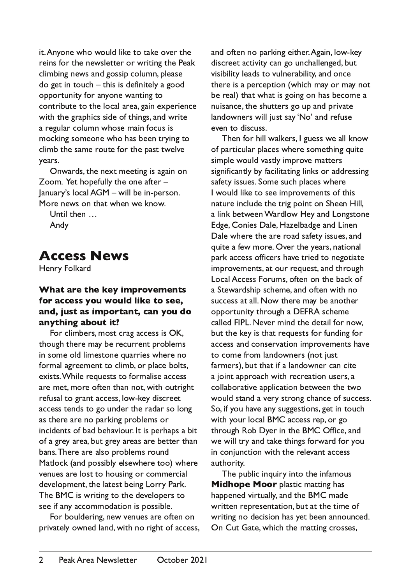it. Anyone who would like to take over the reins for the newsletter or writing the Peak climbing news and gossip column, please do get in touch  $-$  this is definitely a good opportunity for anyone wanting to contribute to the local area, gain experience with the graphics side of things, and write a regular column whose main focus is mocking someone who has been trying to climb the same route for the past twelve years.

Onwards, the next meeting is again on Zoom. Yet hopefully the one after lanuary's local AGM - will be in-person. More news on that when we know

Until then ... Andy

# **Access News**

Henry Folkard

#### What are the key improvements for access you would like to see, and, just as important, can you do anything about it?

For climbers, most crag access is OK, though there may be recurrent problems in some old limestone quarries where no formal agreement to climb, or place bolts, exists. While requests to formalise access are met, more often than not, with outright refusal to grant access, low-key discreet access tends to go under the radar so long as there are no parking problems or incidents of bad behaviour. It is perhaps a bit of a grey area, but grey areas are better than bans. There are also problems round Matlock (and possibly elsewhere too) where venues are lost to housing or commercial development, the latest being Lorry Park. The BMC is writing to the developers to see if any accommodation is possible.

For bouldering, new venues are often on privately owned land, with no right of access, and often no parking either. Again, low-key discreet activity can go unchallenged, but visibility leads to vulnerability, and once there is a perception (which may or may not be real) that what is going on has become a nuisance, the shutters go up and private landowners will just say 'No' and refuse even to discuss.

Then for hill walkers, I guess we all know of particular places where something quite simple would vastly improve matters significantly by facilitating links or addressing safety issues. Some such places where I would like to see improvements of this nature include the trig point on Sheen Hill, a link between Wardlow Hey and Longstone Edge, Conies Dale, Hazelbadge and Linen Dale where the are road safety issues, and quite a few more. Over the years, national park access officers have tried to negotiate improvements, at our request, and through Local Access Forums, often on the back of a Stewardship scheme, and often with no success at all. Now there may be another opportunity through a DEFRA scheme called FIPL. Never mind the detail for now, but the key is that requests for funding for access and conservation improvements have to come from landowners (not just farmers), but that if a landowner can cite a joint approach with recreation users, a collaborative application between the two would stand a very strong chance of success. So, if you have any suggestions, get in touch with your local BMC access rep, or go through Rob Dyer in the BMC Office, and we will try and take things forward for you in conjunction with the relevant access authority.

The public inquiry into the infamous Midhope Moor plastic matting has happened virtually, and the BMC made written representation, but at the time of writing no decision has yet been announced. On Cut Gate, which the matting crosses,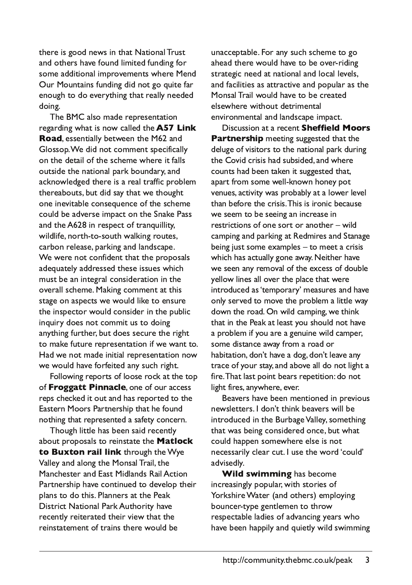there is good news in that National Trust and others have found limited funding for some additional improvements where Mend Our Mountains funding did not go quite far enough to do everything that really needed doing.

The BMC also made representation regarding what is now called the A57 Link Road, essentially between the M62 and Glossop. We did not comment specifically on the detail of the scheme where it falls outside the national park boundary, and acknowledged there is a real traffic problem thereabouts, but did say that we thought one inevitable consequence of the scheme could be adverse impact on the Snake Pass and the A628 in respect of tranquillity. wildlife, north-to-south walking routes, carbon release, parking and landscape. We were not confident that the proposals adequately addressed these issues which must be an integral consideration in the overall scheme. Making comment at this stage on aspects we would like to ensure the inspector would consider in the public inquiry does not commit us to doing anything further, but does secure the right to make future representation if we want to. Had we not made initial representation now we would have forfeited any such right.

Following reports of loose rock at the top of Froggatt Pinnacle, one of our access reps checked it out and has reported to the Eastern Moors Partnership that he found nothing that represented a safety concern.

Though little has been said recently about proposals to reinstate the Matlock to Buxton rail link through the Wye Valley and along the Monsal Trail, the Manchester and East Midlands Rail Action Partnership have continued to develop their plans to do this. Planners at the Peak District National Park Authority have recently reiterated their view that the reinstatement of trains there would be

unacceptable. For any such scheme to go ahead there would have to be over-riding strategic need at national and local levels, and facilities as attractive and popular as the Monsal Trail would have to be created elsewhere without detrimental environmental and landscape impact.

Discussion at a recent Sheffield Moors Partnership meeting suggested that the deluge of visitors to the national park during the Covid crisis had subsided, and where counts had been taken it suggested that, apart from some well-known honey pot venues, activity was probably at a lower level than before the crisis. This is ironic because we seem to be seeing an increase in restrictions of one sort or another - wild camping and parking at Redmires and Stanage being just some examples  $-$  to meet a crisis which has actually gone away. Neither have we seen any removal of the excess of double yellow lines all over the place that were introduced as 'temporary' measures and have only served to move the problem a little way down the road. On wild camping, we think that in the Peak at least you should not have a problem if you are a genuine wild camper, some distance away from a road or habitation, don't have a dog, don't leave any trace of your stay, and above all do not light a fire. That last point bears repetition: do not light fires, anywhere, ever.

Beavers have been mentioned in previous newsletters. I don't think beavers will be introduced in the Burbage Valley, something that was being considered once, but what could happen somewhere else is not necessarily clear cut. I use the word 'could' advisedly.

Wild swimming has become increasingly popular, with stories of Yorkshire Water (and others) employing bouncer-type gentlemen to throw respectable ladies of advancing years who have been happily and quietly wild swimming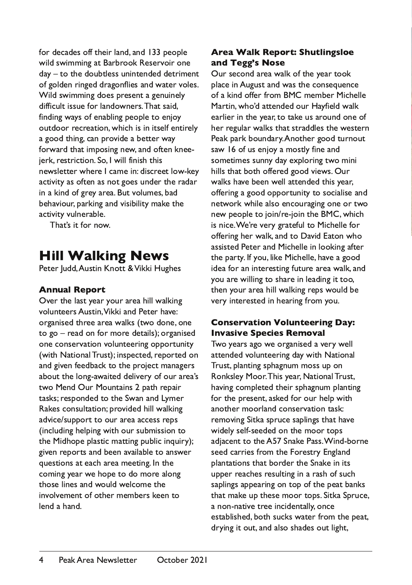for decades off their land, and 133 people wild swimming at Barbrook Reservoir one  $day - to$  the doubtless unintended detriment of golden ringed dragonflies and water voles. Wild swimming does present a genuinely difficult issue for landowners. That said. finding ways of enabling people to enjoy outdoor recreation, which is in itself entirely a good thing, can provide a better way forward that imposing new, and often kneeierk, restriction, So. I will finish this newsletter where I came in: discreet low-key activity as often as not goes under the radar in a kind of grey area. But volumes, bad behaviour, parking and visibility make the activity vulnerable.

That's it for now.

# **Hill Walking News**

Peter Judd, Austin Knott & Vikki Hughes

### **Annual Report**

Over the last year your area hill walking volunteers Austin. Vikki and Peter have: organised three area walks (two done, one  $to$   $go$  – read on for more details); organised one conservation volunteering opportunity (with National Trust): inspected, reported on and given feedback to the project managers about the long-awaited delivery of our area's two Mend Our Mountains 2 path repair tasks; responded to the Swan and Lymer Rakes consultation; provided hill walking advice/support to our area access reps (including helping with our submission to the Midhope plastic matting public inquiry); given reports and been available to answer questions at each area meeting. In the coming year we hope to do more along those lines and would welcome the involvement of other members keen to lend a hand.

### Area Walk Report: Shutlingsloe and Tegg's Nose

Our second area walk of the year took place in August and was the consequence of a kind offer from BMC member Michelle Martin, who'd attended our Hayfield walk earlier in the year, to take us around one of her regular walks that straddles the western Peak park boundary. Another good turnout saw 16 of us enjoy a mostly fine and sometimes sunny day exploring two mini hills that both offered good views. Our walks have been well attended this year, offering a good opportunity to socialise and network while also encouraging one or two new people to join/re-join the BMC, which is nice. We're very grateful to Michelle for offering her walk, and to David Eaton who assisted Peter and Michelle in looking after the party. If you, like Michelle, have a good idea for an interesting future area walk, and you are willing to share in leading it too, then your area hill walking reps would be very interested in hearing from you.

#### Conservation Volunteering Day: **Invasive Species Removal**

Two years ago we organised a very well attended volunteering day with National Trust, planting sphagnum moss up on Ronksley Moor. This year, National Trust, having completed their sphagnum planting for the present, asked for our help with another moorland conservation task: removing Sitka spruce saplings that have widely self-seeded on the moor tops adjacent to the A57 Snake Pass. Wind-borne seed carries from the Forestry England plantations that border the Snake in its upper reaches resulting in a rash of such saplings appearing on top of the peat banks that make up these moor tops. Sitka Spruce, a non-native tree incidentally, once established, both sucks water from the peat, drying it out, and also shades out light,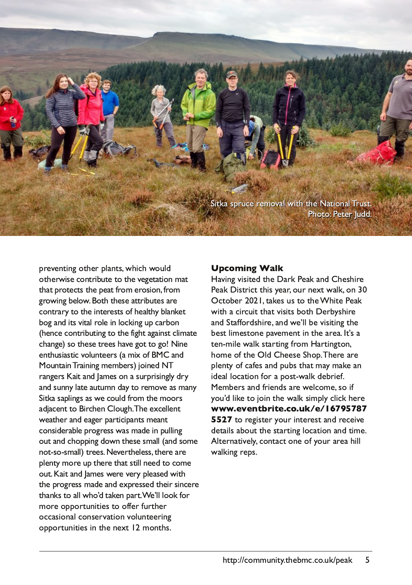(7B9/ A>@C13 @3; =D/ : E7B6 B63 \$ /B7=</ :)@CAB &6=B= &3B3@C22

>@3D3<B7<5 =B63@>:/ <BAE6716 E=C:2 =B63@E7A3 1=<B@70CB3B= B63 D353B/B7=< ; /B B6/B>@=B31BAB63 >3/B4@=; 3@=A7=< 4@=; 5@=E7<503:=E =B6 B63A3 /BB@70CB3A/@3 1=<B@/@GB= B63 7<B3@3ABA=463/:B6G0:/<93B  $0=5/\sqrt{7}$ ADB:  $@3 \times =1975$ C  $1/\sqrt{0}=$ 63<13 1=<B@70CB&5 B= B63 4756B/5/7<br/>c4B1:7 /B3 16/<53 A= B63A3B@33A6/D3 5=BB= 5= \$ 7<3 3<B6CA7/AB71D=:C<B33@A / ; 7F=4 # /<2  $# = G(B \times)$  @  $KZ5$ ; 3; 03 @  $#Z32 \$ @/<53@A! /7B/<2 /; 3A=< / AC@>@7A7<5:G2@G /<2 AC<<G:/B3 /CBC; < 2/GB= @3; =D3 /A; /<G  $(TB)/A > K5A/AE31 = C249$ ; B63;  $==@A$ /28/13<BB= 7@163< :=C56 ) 63 3F13::3<B E3/B63@/<2 3/53@>/@B717>/<BA; 3/<B 1=<A23@0:3>@5@AAE/A; /23 7< >C:7<5 =CB/<2 16=>>7<52=E<B63A3A; /:: /<2 A=; 3 <=BA= A; /:: B@33A\$ 3D3@B63:3AAB63@3 /@3 >:3<BG; =@3 C>B63@3B6/BAB7:: <332 B= 1=; 3 =CB! /7B/<2 /; 3AE3@3 D3@G>:3/A32 E7B6 B63 >@=5@3AA; /23 /<2 3F>@3AA32 B637@A7<13@3  $BB/3AB=$  /::  $E6=121B93<$   $\rightarrow$  ( $B.3M:=-940$ ) ;  $=$  @ $=$ > $=$  @B $<$ RBAB=  $=$  48 @D@63 @ =11/A=</: 1=<A3@DB=<D=:C<B33@<5 =>>=@BC<7B73A7< B63 <3FB ; =<B6A

# 6) 53 /4- % ' 21

/D7<5 D7A7B32 B63 /@9 &3/ 9 / <2 63A67@3 &3/ 9 7AB@71BB67AG3/@=C@<3FBE/ :9 =< %1B=03@ B/ 93ACAB= B63, 67B3 & 3/9 E7B6 / 17@1C7BB6/BD7A7BA0=B6 3@0GA67@3 / < 2 (B44= @24677@ / < 2 E3M: 03 D7A7B7<5 B63 03AB:7; 3AB=<3 >/D3; 3<B7< B63 / @3/ BMA/ B<sub>3</sub><; 73 E/:9 AB @B245 4@e; /@B25B=< 6=;  $3 = 4B63$  %:2 633A3 (6=>) 63 $@/@3$ >:3<BG=41/ 43A/ <2 >C0AB6/B; /G; / 93 / < 723/ : :=1/B7=< 4=@/ >=ABE/ :9 230@734 # 3; 03@A/ <2 4@73<2A/@3 E3:1=; 3 A= 74 G=CM2 :793 B= 8=7< B63 E/:9 A7 >:G1:719 63@3  $=$  =  $=$  +<+4: (8/: + ) 5 ; 1 +

B= [@357AB3@G=C@7<B3@3AB/](www.eventbrite.co.uk/e/167957875527) <2 @3137D3  $23B7A/0=CBB3AB$  @B7:5 :=1/B7=</<2 B7 3 :B3@</B7D3:G1=<B/ 1B=<3 =4G=C@/@3/ 67::  $E/$ :97 $5$  @ $\triangleright$ A

6BB> 1=; ; C<7BGB630; 11= C9 >3/ 9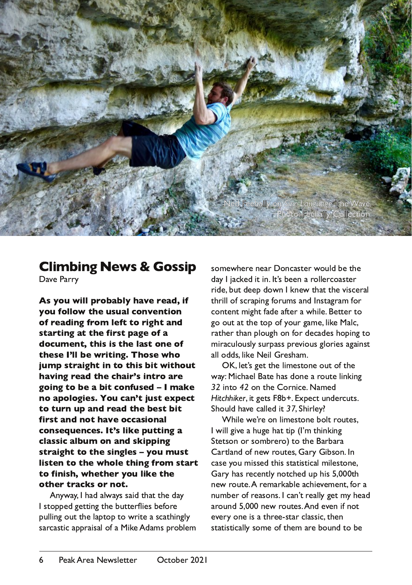

## **Climbing News & Gossip**

Dave Parry

As you will probably have read, if you follow the usual convention of reading from left to right and starting at the first page of a document, this is the last one of these I'll be writing. Those who jump straight in to this bit without having read the chair's intro are going to be a bit confused - I make no apologies. You can't just expect to turn up and read the best bit first and not have occasional consequences. It's like putting a classic album on and skipping straight to the singles - you must listen to the whole thing from start to finish, whether you like the other tracks or not.

Anyway, I had always said that the day I stopped getting the butterflies before pulling out the laptop to write a scathingly sarcastic appraisal of a Mike Adams problem

somewhere near Doncaster would be the day I jacked it in. It's been a rollercoaster ride, but deep down I knew that the visceral thrill of scraping forums and Instagram for content might fade after a while. Better to go out at the top of your game, like Malc, rather than plough on for decades hoping to miraculously surpass previous glories against all odds, like Neil Gresham.

OK, let's get the limestone out of the way: Michael Bate has done a route linking 32 into 42 on the Cornice, Named Hitchhiker, it gets F8b+. Expect undercuts. Should have called it 37. Shirley?

While we're on limestone bolt routes. I will give a huge hat tip (I'm thinking Stetson or sombrero) to the Barbara Cartland of new routes, Gary Gibson. In case you missed this statistical milestone, Gary has recently notched up his 5,000th new route. A remarkable achievement, for a number of reasons. I can't really get my head around 5,000 new routes. And even if not every one is a three-star classic, then statistically some of them are bound to be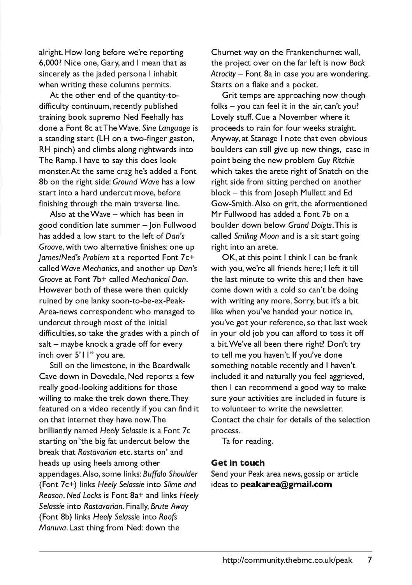alright. How long before we're reporting 6,000? Nice one, Gary, and I mean that as sincerely as the jaded persona I inhabit when writing these columns permits.

At the other end of the quantity-todifficulty continuum, recently published training book supremo Ned Feehally has done a Font 8c at The Wave. Sine Language is a standing start (LH on a two-finger gaston, RH pinch) and climbs along rightwards into The Ramp. I have to say this does look monster. At the same crag he's added a Font 8b on the right side: Ground Wave has a low start into a hard undercut move, before finishing through the main traverse line.

Also at the Wave  $-$  which has been in good condition late summer - Ion Fullwood has added a low start to the left of Dan's Groove, with two alternative finishes: one up /ames/Ned's Problem at a reported Font 7c+ called Wave Mechanics, and another up Dan's Groove at Font 7b+ called Mechanical Dan. However both of these were then quickly ruined by one lanky soon-to-be-ex-Peak-Area-news correspondent who managed to undercut through most of the initial difficulties, so take the grades with a pinch of  $salt - maybe knock a grade off for every$ inch over 5'll" you are.

Still on the limestone, in the Boardwalk Cave down in Dovedale, Ned reports a few really good-looking additions for those willing to make the trek down there. They featured on a video recently if you can find it on that internet they have now. The brilliantly named Heely Selassie is a Font 7c starting on 'the big fat undercut below the break that Rastavarian etc. starts on' and heads up using heels among other appendages. Also, some links: Buffalo Shoulder  $(Font 7c+)$  links Heely Selassie into Slime and Reason. Ned Locks is Font 8a+ and links Heely Selassie into Rastavarian. Finally, Brute Away (Font 8b) links Heely Selassie into Roofs Manuva. Last thing from Ned: down the

Churnet way on the Frankenchurnet wall, the project over on the far left is now Bock Atrocity – Font 8a in case you are wondering. Starts on a flake and a pocket.

Grit temps are approaching now though  $f$ olks – you can feel it in the air, can't you? Lovely stuff. Cue a November where it proceeds to rain for four weeks straight. Anyway, at Stanage I note that even obvious boulders can still give up new things, case in point being the new problem Guy Ritchie which takes the arete right of Snatch on the right side from sitting perched on another block - this from loseph Mullett and Ed Gow-Smith. Also on grit, the aformentioned Mr Fullwood has added a Font 7b on a boulder down below Grand Doigts. This is called Smiling Moon and is a sit start going right into an arete.

OK, at this point I think I can be frank with you, we're all friends here; I left it till the last minute to write this and then have come down with a cold so can't be doing with writing any more. Sorry, but it's a bit like when you've handed your notice in, you've got your reference, so that last week in your old job you can afford to toss it off a bit. We've all been there right? Don't try to tell me you haven't. If you've done something notable recently and I haven't included it and naturally you feel aggrieved, then I can recommend a good way to make sure your activities are included in future is to volunteer to write the newsletter. Contact the chair for details of the selection process.

Ta for reading.

#### **Get in touch**

Send your Peak area news, gossip or article ideas to **peakarea@gmail.com**